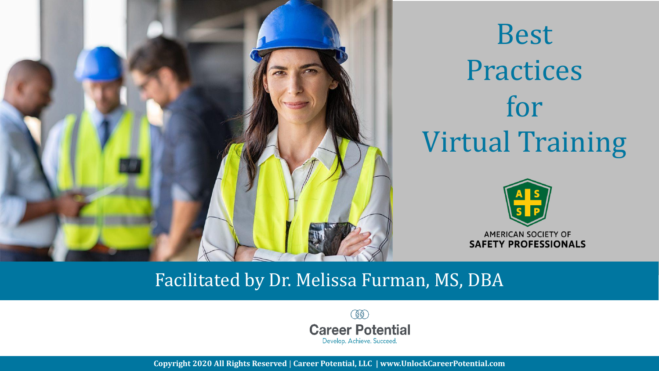

Best **Practices** for Virtual Training



#### Facilitated by Dr. Melissa Furman, MS, DBA

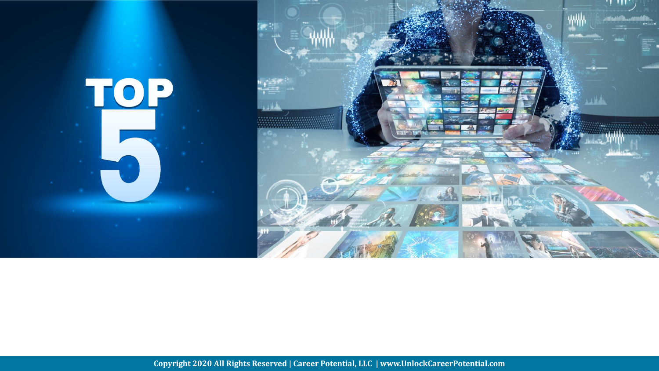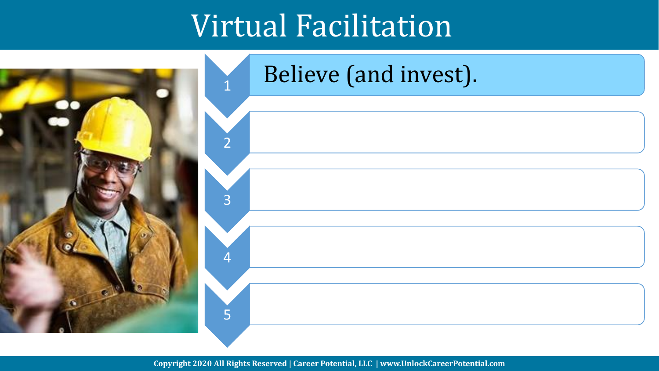### Virtual Facilitation

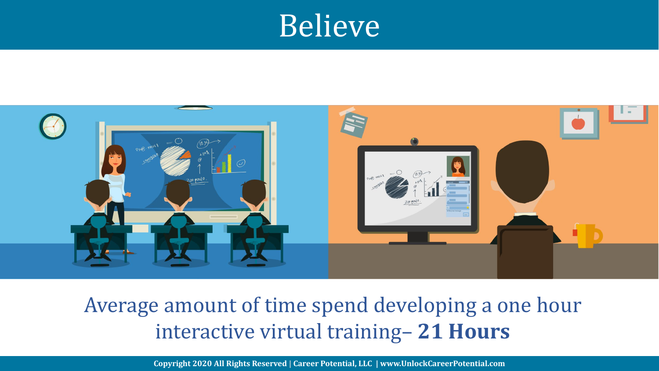#### Believe



#### Average amount of time spend developing a one hour interactive virtual training– **21 Hours**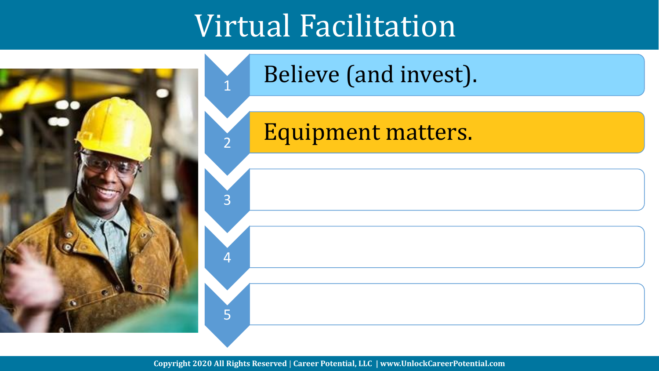### Virtual Facilitation

1

2

3

4

5



#### Believe (and invest).

Equipment matters.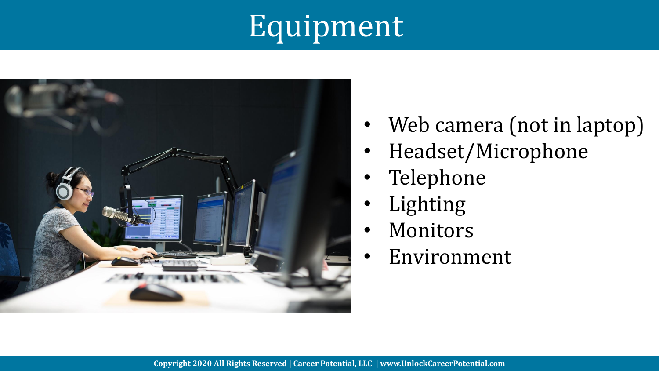# Equipment



- Web camera (not in laptop)
- Headset/Microphone
- Telephone
- **Lighting**
- **Monitors**
- **Environment**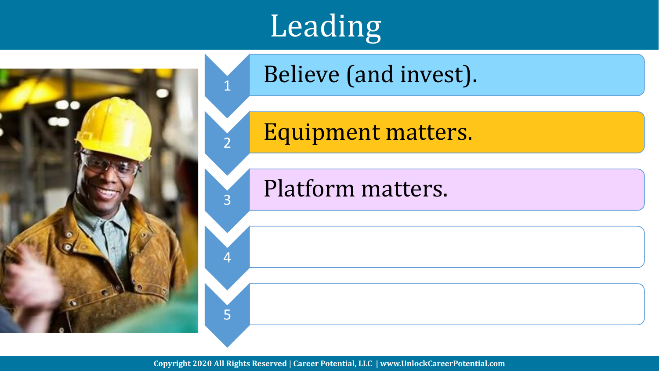

# **Leading**

1

2

3

4

5

Believe (and invest).

Equipment matters.

Platform matters.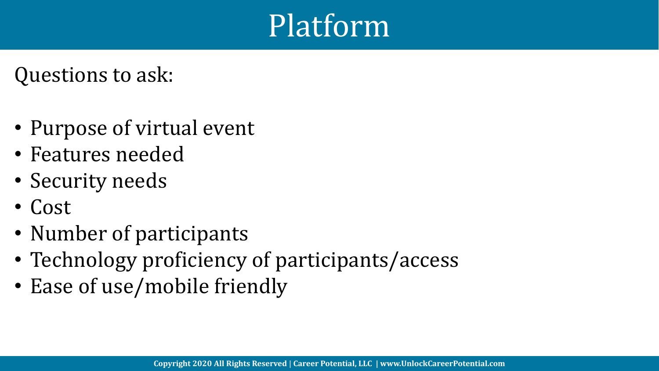### Platform

Questions to ask:

- Purpose of virtual event
- Features needed
- Security needs
- Cost
- Number of participants
- Technology proficiency of participants/access
- Ease of use/mobile friendly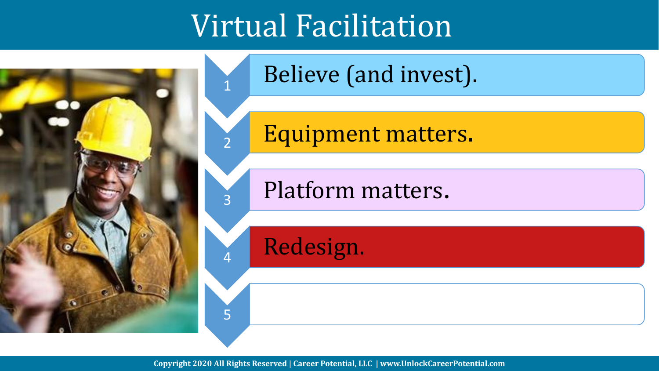### Virtual Facilitation

1

4

5



Believe (and invest).

Equipment matters.

<sup>3</sup> Platform matters.

Redesign.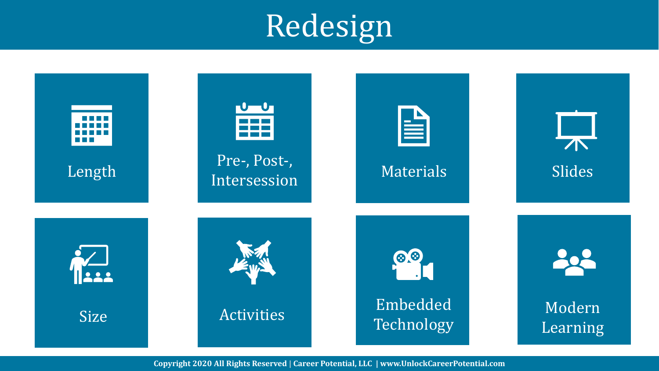## Redesign

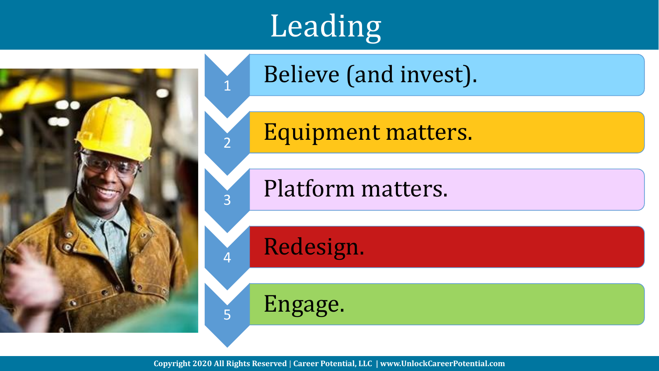

# **Leading**

1

2

3

4

5

Believe (and invest).

Equipment matters.

Platform matters.

Redesign.

Engage.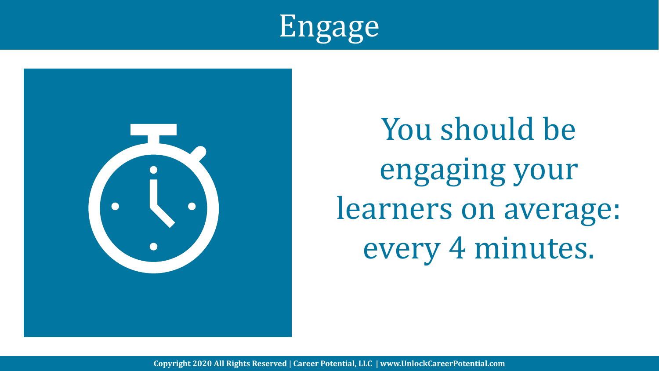



You should be engaging your learners on average: every 4 minutes.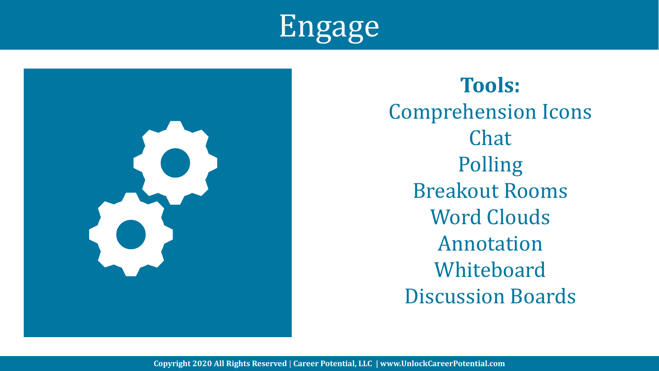



**Tools:**  Comprehension Icons Chat Polling Breakout Rooms Word Clouds Annotation Whiteboard Discussion Boards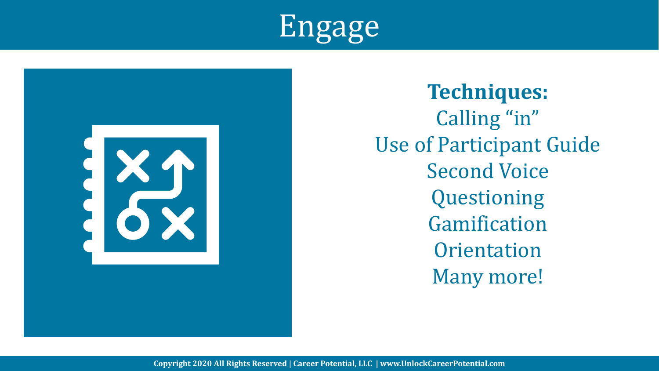



**Techniques:** Calling "in" Use of Participant Guide Second Voice Questioning Gamification **Orientation** Many more!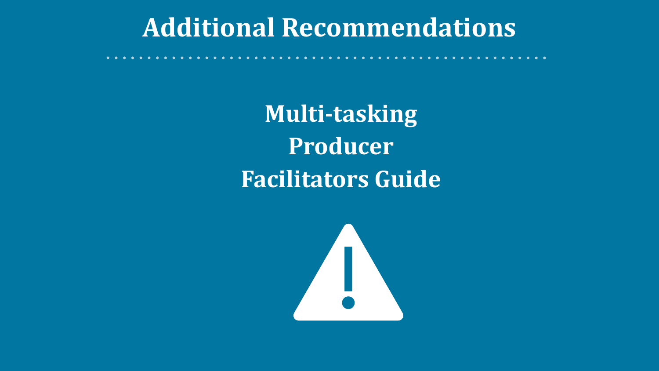#### **Additional Recommendations**

**Multi-tasking Producer Facilitators Guide**